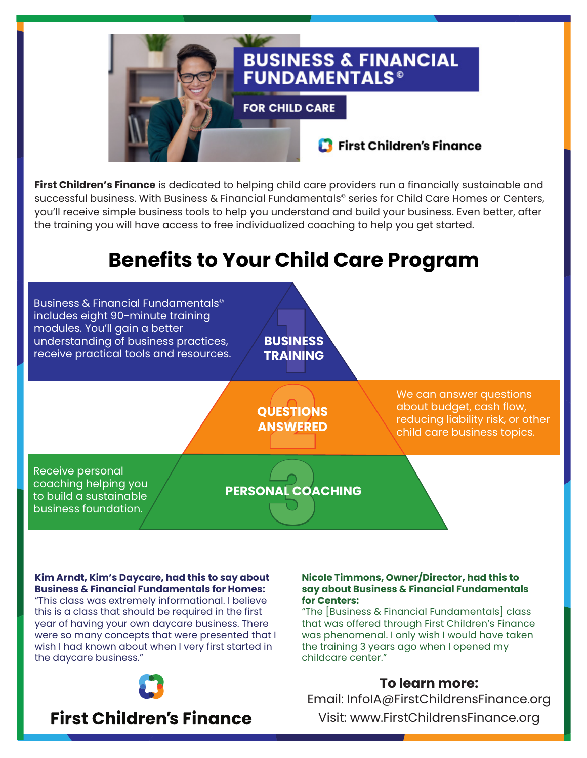

**First Children's Finance** is dedicated to helping child care providers run a financially sustainable and successful business. With Business & Financial Fundamentals<sup>®</sup> series for Child Care Homes or Centers, you'll receive simple business tools to help you understand and build your business. Even better, after the training you will have access to free individualized coaching to help you get started.

# **Benefits to Your Child Care Program**



**Kim Arndt, Kim's Daycare, had this to say about Business & Financial Fundamentals for Homes:**

"This class was extremely informational. I believe this is a class that should be required in the first year of having your own daycare business. There were so many concepts that were presented that I wish I had known about when I very first started in the daycare business."



## **First Children's Finance**

#### **Nicole Timmons, Owner/Director, had this to say about Business & Financial Fundamentals for Centers:**

"The [Business & Financial Fundamentals] class that was offered through First Children's Finance was phenomenal. I only wish I would have taken the training 3 years ago when I opened my childcare center."

## **To learn more:**

Email: InfoIA@FirstChildrensFinance.org Visit: www.FirstChildrensFinance.org